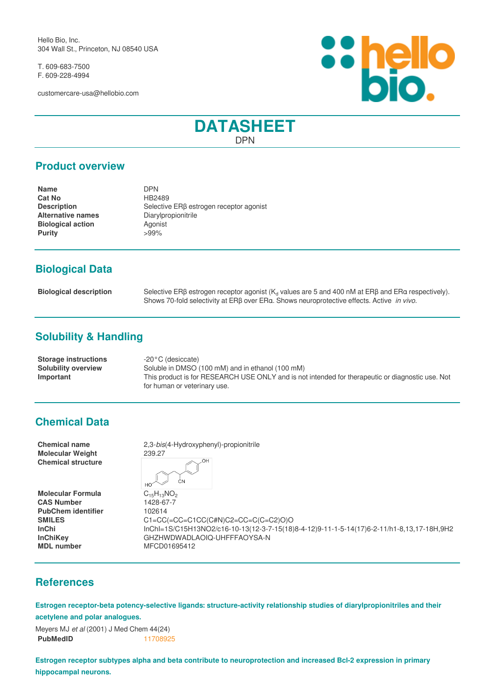Hello Bio, Inc. 304 Wall St., Princeton, NJ 08540 USA

T. 609-683-7500 F. 609-228-4994

customercare-usa@hellobio.com



# **DATASHEET** DPN

#### **Product overview**

| <b>DPN</b>                                          |
|-----------------------------------------------------|
| HB2489                                              |
| Selective ER <sub>B</sub> estrogen receptor agonist |
| Diarylpropionitrile                                 |
| Agonist                                             |
| $>99\%$                                             |
|                                                     |

# **Biological Data**

| <b>Biological description</b> | Selective ER <sub>B</sub> estrogen receptor agonist ( $K_d$ values are 5 and 400 nM at ERB and ERa respectively). |
|-------------------------------|-------------------------------------------------------------------------------------------------------------------|
|                               | Shows 70-fold selectivity at FRB over FRg. Shows neuroprotective effects. Active in vivo.                         |

# **Solubility & Handling**

| <b>Storage instructions</b> | -20°C (desiccate)                                                                                |
|-----------------------------|--------------------------------------------------------------------------------------------------|
| Solubility overview         | Soluble in DMSO (100 mM) and in ethanol (100 mM)                                                 |
| Important                   | This product is for RESEARCH USE ONLY and is not intended for therapeutic or diagnostic use. Not |
|                             | for human or veterinary use.                                                                     |

### **Chemical Data**

**Molecular Weight** 239.27 **Chemical structure**

**Molecular Formula** C<sub>15</sub>H<sub>13</sub>NO<sub>2</sub><br>CAS Number 1428-67-7 **CAS Number PubChem identifier** 102614 **MDL number** MFCD01695412

**Chemical name** 2,3-*bis*(4-Hydroxyphenyl)-propionitrile OH

 $\overline{C}N$  $HO^{\prime}$ 

**SMILES** C1=CC(=CC=C1CC(C#N)C2=CC=C(C=C2)O)O **InChi** InChI=1S/C15H13NO2/c16-10-13(12-3-7-15(18)8-4-12)9-11-1-5-14(17)6-2-11/h1-8,13,17-18H,9H2 **InChiKey** GHZHWDWADLAOIQ-UHFFFAOYSA-N

### **References**

**Estrogen receptor-beta potency-selective ligands: structure-activity relationship studies of diarylpropionitriles and their acetylene and polar analogues.**

| Meyers MJ <i>et al</i> (2001) J Med Chem 44(24) |          |
|-------------------------------------------------|----------|
| <b>PubMedID</b>                                 | 11708925 |

**Estrogen receptor subtypes alpha and beta contribute to neuroprotection and increased Bcl-2 expression in primary hippocampal neurons.**